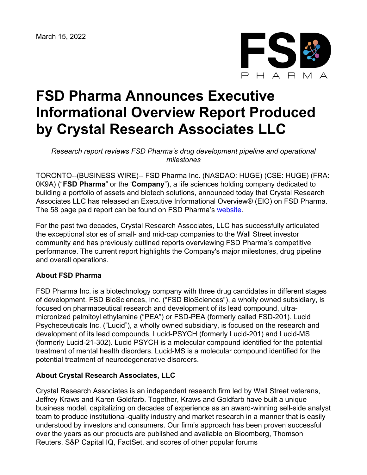

## **FSD Pharma Announces Executive Informational Overview Report Produced by Crystal Research Associates LLC**

*Research report reviews FSD Pharma's drug development pipeline and operational milestones*

TORONTO--(BUSINESS WIRE)-- FSD Pharma Inc. (NASDAQ: HUGE) (CSE: HUGE) (FRA: 0K9A) ("**FSD Pharma**" or the "**Company**"), a life sciences holding company dedicated to building a portfolio of assets and biotech solutions, announced today that Crystal Research Associates LLC has released an Executive Informational Overview® (EIO) on FSD Pharma. The 58 page paid report can be found on FSD Pharma's [website.](https://fsdpharma.com/for-investors/)

For the past two decades, Crystal Research Associates, LLC has successfully articulated the exceptional stories of small- and mid-cap companies to the Wall Street investor community and has previously outlined reports overviewing FSD Pharma's competitive performance. The current report highlights the Company's major milestones, drug pipeline and overall operations.

## **About FSD Pharma**

FSD Pharma Inc. is a biotechnology company with three drug candidates in different stages of development. FSD BioSciences, Inc. ("FSD BioSciences"), a wholly owned subsidiary, is focused on pharmaceutical research and development of its lead compound, ultramicronized palmitoyl ethylamine ("PEA") or FSD-PEA (formerly called FSD-201). Lucid Psycheceuticals Inc. ("Lucid"), a wholly owned subsidiary, is focused on the research and development of its lead compounds, Lucid-PSYCH (formerly Lucid-201) and Lucid-MS (formerly Lucid-21-302). Lucid PSYCH is a molecular compound identified for the potential treatment of mental health disorders. Lucid-MS is a molecular compound identified for the potential treatment of neurodegenerative disorders.

## **About Crystal Research Associates, LLC**

Crystal Research Associates is an independent research firm led by Wall Street veterans, Jeffrey Kraws and Karen Goldfarb. Together, Kraws and Goldfarb have built a unique business model, capitalizing on decades of experience as an award-winning sell-side analyst team to produce institutional-quality industry and market research in a manner that is easily understood by investors and consumers. Our firm's approach has been proven successful over the years as our products are published and available on Bloomberg, Thomson Reuters, S&P Capital IQ, FactSet, and scores of other popular forums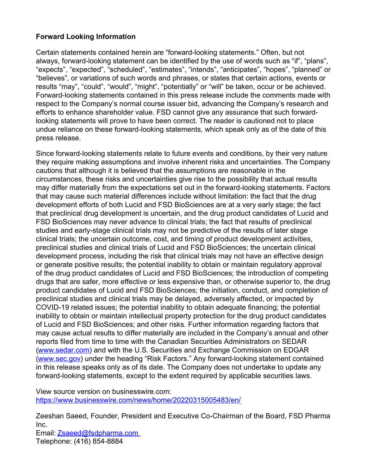## **Forward Looking Information**

Certain statements contained herein are "forward-looking statements." Often, but not always, forward-looking statement can be identified by the use of words such as "if", "plans", "expects", "expected", "scheduled", "estimates", "intends", "anticipates", "hopes", "planned" or "believes", or variations of such words and phrases, or states that certain actions, events or results "may", "could", "would", "might", "potentially" or "will" be taken, occur or be achieved. Forward-looking statements contained in this press release include the comments made with respect to the Company's normal course issuer bid, advancing the Company's research and efforts to enhance shareholder value. FSD cannot give any assurance that such forwardlooking statements will prove to have been correct. The reader is cautioned not to place undue reliance on these forward-looking statements, which speak only as of the date of this press release.

Since forward-looking statements relate to future events and conditions, by their very nature they require making assumptions and involve inherent risks and uncertainties. The Company cautions that although it is believed that the assumptions are reasonable in the circumstances, these risks and uncertainties give rise to the possibility that actual results may differ materially from the expectations set out in the forward-looking statements. Factors that may cause such material differences include without limitation: the fact that the drug development efforts of both Lucid and FSD BioSciences are at a very early stage; the fact that preclinical drug development is uncertain, and the drug product candidates of Lucid and FSD BioSciences may never advance to clinical trials; the fact that results of preclinical studies and early-stage clinical trials may not be predictive of the results of later stage clinical trials; the uncertain outcome, cost, and timing of product development activities, preclinical studies and clinical trials of Lucid and FSD BioSciences; the uncertain clinical development process, including the risk that clinical trials may not have an effective design or generate positive results; the potential inability to obtain or maintain regulatory approval of the drug product candidates of Lucid and FSD BioSciences; the introduction of competing drugs that are safer, more effective or less expensive than, or otherwise superior to, the drug product candidates of Lucid and FSD BioSciences; the initiation, conduct, and completion of preclinical studies and clinical trials may be delayed, adversely affected, or impacted by COVID-19 related issues; the potential inability to obtain adequate financing; the potential inability to obtain or maintain intellectual property protection for the drug product candidates of Lucid and FSD BioSciences; and other risks. Further information regarding factors that may cause actual results to differ materially are included in the Company's annual and other reports filed from time to time with the Canadian Securities Administrators on SEDAR ([www.sedar.com](http://www.sedar.com)) and with the U.S. Securities and Exchange Commission on EDGAR ([www.sec.gov](http://www.sec.gov)) under the heading "Risk Factors." Any forward-looking statement contained in this release speaks only as of its date. The Company does not undertake to update any forward-looking statements, except to the extent required by applicable securities laws.

View source version on businesswire.com: <https://www.businesswire.com/news/home/20220315005483/en/>

Zeeshan Saeed, Founder, President and Executive Co-Chairman of the Board, FSD Pharma Inc.

Email: [Zsaeed@fsdpharma.com](mailto:Zsaeed@fsdpharma.com) Telephone: (416) 854-8884